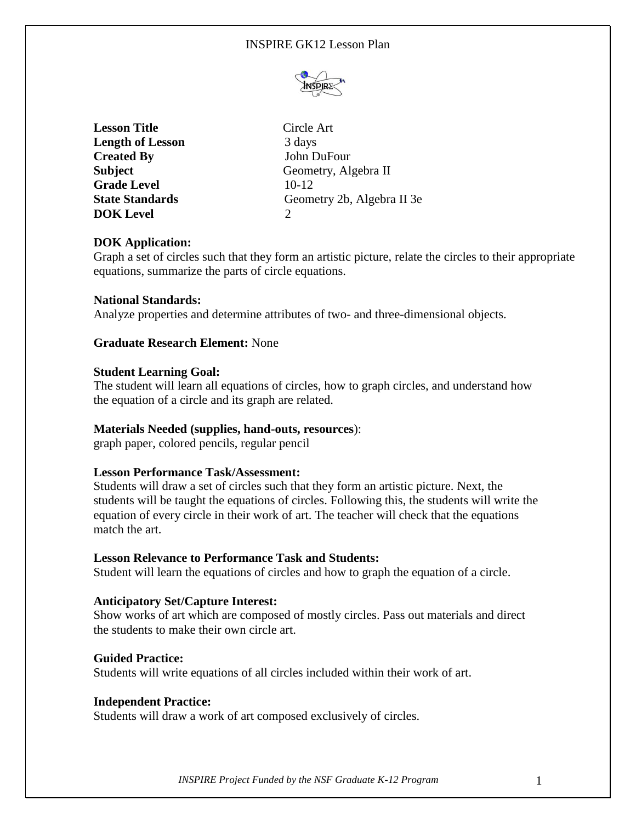## INSPIRE GK12 Lesson Plan



| Circle Art                  |
|-----------------------------|
| 3 days                      |
| John DuFour                 |
| Geometry, Algebra II        |
| $10-12$                     |
| Geometry 2b, Algebra II 3e  |
| $\mathcal{D}_{\mathcal{L}}$ |
|                             |

## **DOK Application:**

Graph a set of circles such that they form an artistic picture, relate the circles to their appropriate equations, summarize the parts of circle equations.

### **National Standards:**

Analyze properties and determine attributes of two- and three-dimensional objects.

## **Graduate Research Element:** None

#### **Student Learning Goal:**

The student will learn all equations of circles, how to graph circles, and understand how the equation of a circle and its graph are related.

#### **Materials Needed (supplies, hand-outs, resources**):

graph paper, colored pencils, regular pencil

### **Lesson Performance Task/Assessment:**

Students will draw a set of circles such that they form an artistic picture. Next, the students will be taught the equations of circles. Following this, the students will write the equation of every circle in their work of art. The teacher will check that the equations match the art.

#### **Lesson Relevance to Performance Task and Students:**

Student will learn the equations of circles and how to graph the equation of a circle.

#### **Anticipatory Set/Capture Interest:**

Show works of art which are composed of mostly circles. Pass out materials and direct the students to make their own circle art.

#### **Guided Practice:**

Students will write equations of all circles included within their work of art.

#### **Independent Practice:**

Students will draw a work of art composed exclusively of circles.